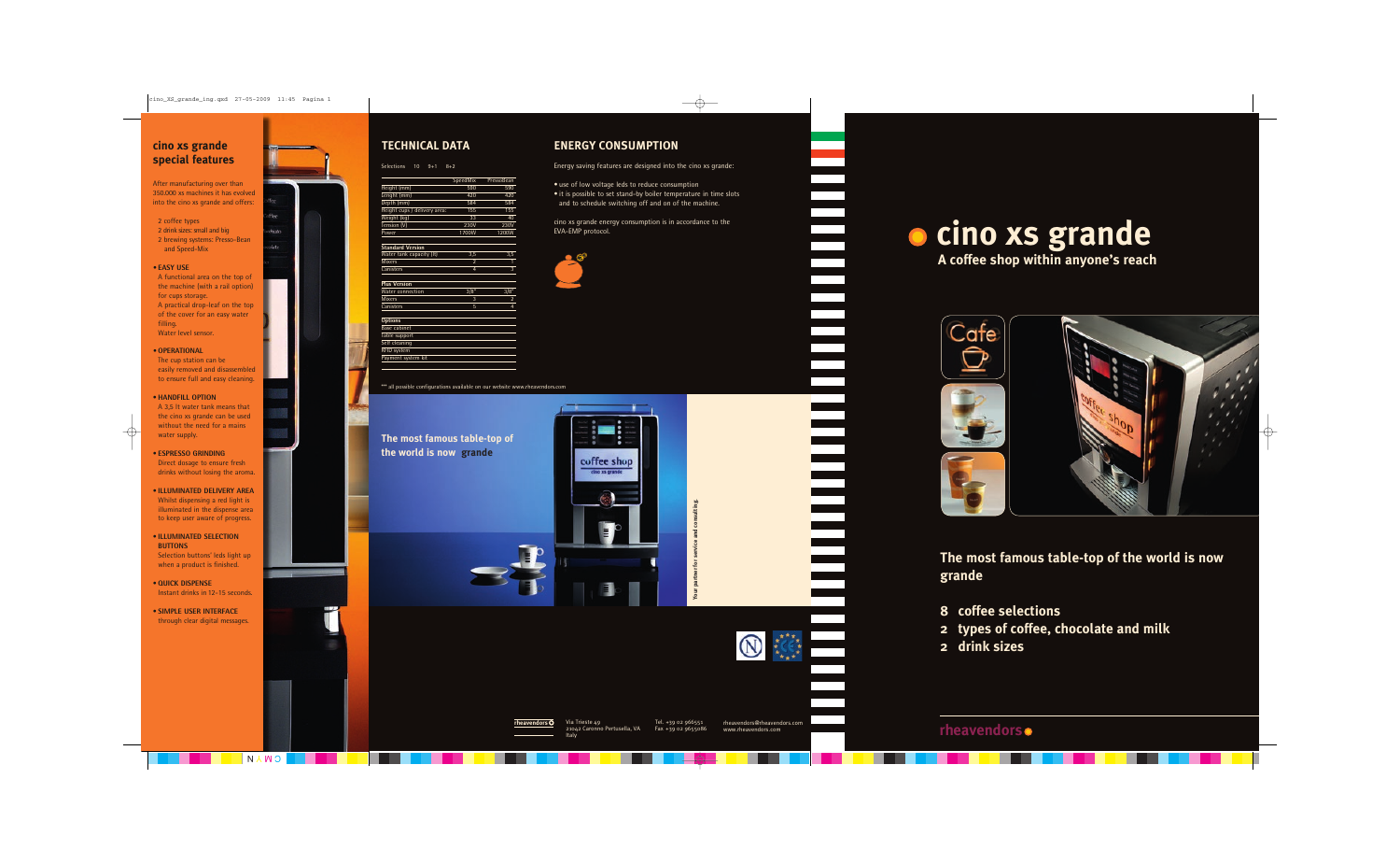## **TECHNICAL DATA ENERGY CONSUMPTION**

Energy saving features are designed into the cino xs grande:

- use of low voltage leds to reduce consumption
- it is possible to set stand-by boiler temperature in time slots and to schedule switching off and on of the machine.

cino xs grande energy consumption is in accordance to the EVA-EMP protocol.



### \*\*\* all possible configurations available on our website www.rheavendors.com

Selections 10 9+1 8+2

|                              | SpeedMix | PressoBean |
|------------------------------|----------|------------|
| Height (mm)                  | 590      | 590        |
| Lenght (mm)                  | 420      | 420        |
| Depth (mm)                   | 584      | 584        |
| Height cups / delivery area: | 155      | 155        |
| Weight (kg)                  | 33       | 40         |
| Tension (V)                  | 230V     | 230V       |
| Power                        | 1700W    | 1200W      |

### **Standard Version**

| Water tank capacity (It) | 3.5 | 3.5 |
|--------------------------|-----|-----|
| <b>Mixers</b>            |     |     |
| Canisters                |     |     |
|                          |     |     |

| <b>Plus Version</b>     |      |                         |
|-------------------------|------|-------------------------|
| <b>Water</b> connection | 3/8" | 3/8"                    |
| <b>Mixers</b>           | 3    | $\overline{\mathbf{c}}$ |
| Canisters               | 5    | 4                       |
|                         |      |                         |
| <b>Options</b>          |      |                         |
| Base cabinet            |      |                         |
| Table support           |      |                         |
| Self cleaning           |      |                         |
| <b>RFID system</b>      |      |                         |
| Payment system kit      |      |                         |

## **rheavendors**

**Your partner for service and consulting.**



## **The most famous table-top of the world is now grande**



**rheavendors** Via Trieste 49 21042 Caronno Pertusella, VA Italy

Tel. +39 02 966551 Fax +39 02 9655086

rheavendors@rheavendors.com www.rheavendors.com

# **cino xs grande A coffee shop within anyone's reach**



**The most famous table-top of the world is now grande**

- **8 coffee selections**
- **2 types of coffee, chocolate and milk**
- **2 drink sizes**

## **cino xs grande special features**

After manufacturing over than 350.000 xs machines it has evolved into the cino xs grande and offers:

### 2 coffee types

- 2 drink sizes: small and big
- 2 brewing systems: Presso-Bean and Speed-Mix

### **• EASY USE**

 A functional area on the top of the machine (with a rail option) for cups storage.

- A practical drop-leaf on the top of the cover for an easy water filling.
- Water level sensor.

### **• OPERATIONAL**

 The cup station can be easily removed and disassembled to ensure full and easy cleaning.

### • **HANDFILL OPTION**

 A 3,5 lt water tank means that the cino xs grande can be used without the need for a mains water supply.

### • **ESPRESSO GRINDING**

 Direct dosage to ensure fresh drinks without losing the aroma.

### • **ILLUMINATED DELIVERY AREA** Whilst dispensing a red light is illuminated in the dispense area to keep user aware of progress.

### • **ILLUMINATED SELECTION BUTTONS**

 Selection buttons' leds light up when a product is finished.

- **QUICK DISPENSE** Instant drinks in 12-15 seconds.
- **SIMPLE USER INTERFACE** through clear digital messages.